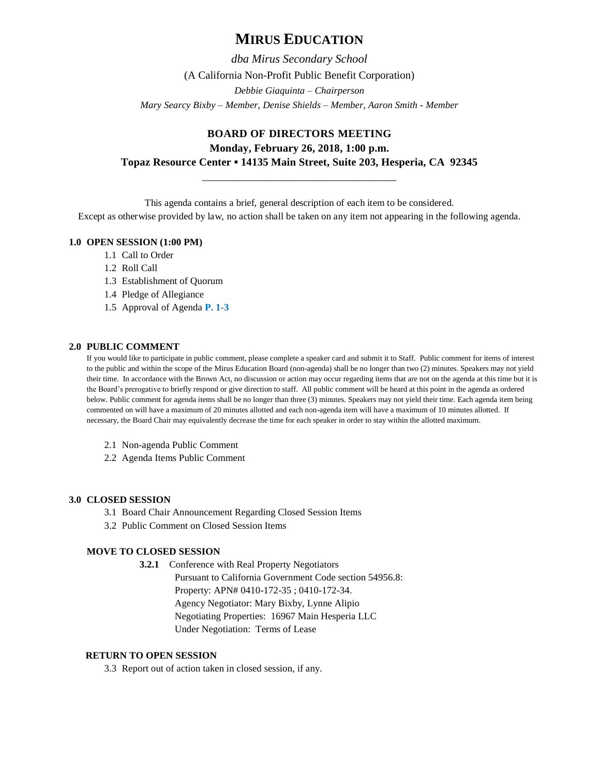# **MIRUS EDUCATION**

*dba Mirus Secondary School* (A California Non-Profit Public Benefit Corporation) *Debbie Giaquinta – Chairperson Mary Searcy Bixby – Member, Denise Shields – Member, Aaron Smith - Member*

# **BOARD OF DIRECTORS MEETING Monday, February 26, 2018, 1:00 p.m. Topaz Resource Center ▪ 14135 Main Street, Suite 203, Hesperia, CA 92345**

\_\_\_\_\_\_\_\_\_\_\_\_\_\_\_\_\_\_\_\_\_\_\_\_\_\_\_\_\_\_\_\_\_\_\_\_

This agenda contains a brief, general description of each item to be considered.

Except as otherwise provided by law, no action shall be taken on any item not appearing in the following agenda.

# **1.0 OPEN SESSION (1:00 PM)**

- 1.1 Call to Order
- 1.2 Roll Call
- 1.3 Establishment of Quorum
- 1.4 Pledge of Allegiance
- 1.5 Approval of Agenda **P. 1-3**

# **2.0 PUBLIC COMMENT**

If you would like to participate in public comment, please complete a speaker card and submit it to Staff. Public comment for items of interest to the public and within the scope of the Mirus Education Board (non-agenda) shall be no longer than two (2) minutes. Speakers may not yield their time. In accordance with the Brown Act, no discussion or action may occur regarding items that are not on the agenda at this time but it is the Board's prerogative to briefly respond or give direction to staff. All public comment will be heard at this point in the agenda as ordered below. Public comment for agenda items shall be no longer than three (3) minutes. Speakers may not yield their time. Each agenda item being commented on will have a maximum of 20 minutes allotted and each non-agenda item will have a maximum of 10 minutes allotted. If necessary, the Board Chair may equivalently decrease the time for each speaker in order to stay within the allotted maximum.

- 2.1 Non-agenda Public Comment
- 2.2 Agenda Items Public Comment

# **3.0 CLOSED SESSION**

- 3.1 Board Chair Announcement Regarding Closed Session Items
- 3.2 Public Comment on Closed Session Items

# **MOVE TO CLOSED SESSION**

**3.2.1** Conference with Real Property Negotiators

Pursuant to California Government Code section 54956.8: Property: APN# 0410-172-35 ; 0410-172-34. Agency Negotiator: Mary Bixby, Lynne Alipio Negotiating Properties: 16967 Main Hesperia LLC Under Negotiation: Terms of Lease

# **RETURN TO OPEN SESSION**

3.3 Report out of action taken in closed session, if any.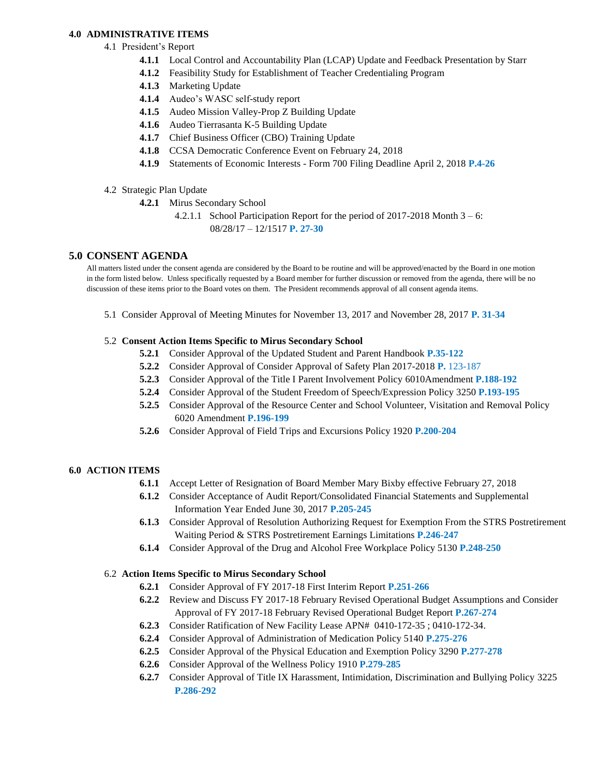### **4.0 ADMINISTRATIVE ITEMS**

- 4.1 President's Report
	- **4.1.1** Local Control and Accountability Plan (LCAP) Update and Feedback Presentation by Starr
	- **4.1.2** Feasibility Study for Establishment of Teacher Credentialing Program
	- **4.1.3** Marketing Update
	- **4.1.4** Audeo's WASC self-study report
	- **4.1.5** Audeo Mission Valley-Prop Z Building Update
	- **4.1.6** Audeo Tierrasanta K-5 Building Update
	- **4.1.7** Chief Business Officer (CBO) Training Update
	- **4.1.8** CCSA Democratic Conference Event on February 24, 2018
	- **4.1.9** Statements of Economic Interests Form 700 Filing Deadline April 2, 2018 **P.4-26**
- 4.2 Strategic Plan Update
	- **4.2.1** Mirus Secondary School
		- 4.2.1.1 School Participation Report for the period of 2017-2018 Month 3 6: 08/28/17 – 12/1517 **P. 27-30**

# **5.0 CONSENT AGENDA**

All matters listed under the consent agenda are considered by the Board to be routine and will be approved/enacted by the Board in one motion in the form listed below. Unless specifically requested by a Board member for further discussion or removed from the agenda, there will be no discussion of these items prior to the Board votes on them. The President recommends approval of all consent agenda items.

5.1 Consider Approval of Meeting Minutes for November 13, 2017 and November 28, 2017 **P. 31-34**

### 5.2 **Consent Action Items Specific to Mirus Secondary School**

- **5.2.1** Consider Approval of the Updated Student and Parent Handbook **P.35-122**
- **5.2.2** Consider Approval of Consider Approval of Safety Plan 2017-2018 **P.** 123-187
- **5.2.3** Consider Approval of the Title I Parent Involvement Policy 6010Amendment **P.188-192**
- **5.2.4** Consider Approval of the Student Freedom of Speech/Expression Policy 3250 **P.193-195**
- **5.2.5** Consider Approval of the Resource Center and School Volunteer, Visitation and Removal Policy 6020 Amendment **P.196-199**
- **5.2.6** Consider Approval of Field Trips and Excursions Policy 1920 **P.200-204**

# **6.0 ACTION ITEMS**

- **6.1.1** Accept Letter of Resignation of Board Member Mary Bixby effective February 27, 2018
- **6.1.2** Consider Acceptance of Audit Report/Consolidated Financial Statements and Supplemental Information Year Ended June 30, 2017 **P.205-245**
- **6.1.3** Consider Approval of Resolution Authorizing Request for Exemption From the STRS Postretirement Waiting Period & STRS Postretirement Earnings Limitations **P.246-247**
- **6.1.4** Consider Approval of the Drug and Alcohol Free Workplace Policy 5130 **P.248-250**

# 6.2 **Action Items Specific to Mirus Secondary School**

- **6.2.1** Consider Approval of FY 2017-18 First Interim Report **P.251-266**
- **6.2.2** Review and Discuss FY 2017-18 February Revised Operational Budget Assumptions and Consider Approval of FY 2017-18 February Revised Operational Budget Report **P.267-274**
- **6.2.3** Consider Ratification of New Facility Lease APN# 0410-172-35 ; 0410-172-34.
- **6.2.4** Consider Approval of Administration of Medication Policy 5140 **P.275-276**
- **6.2.5** Consider Approval of the Physical Education and Exemption Policy 3290 **P.277-278**
- **6.2.6** Consider Approval of the Wellness Policy 1910 **P.279-285**
- **6.2.7** Consider Approval of Title IX Harassment, Intimidation, Discrimination and Bullying Policy 3225 **P.286-292**